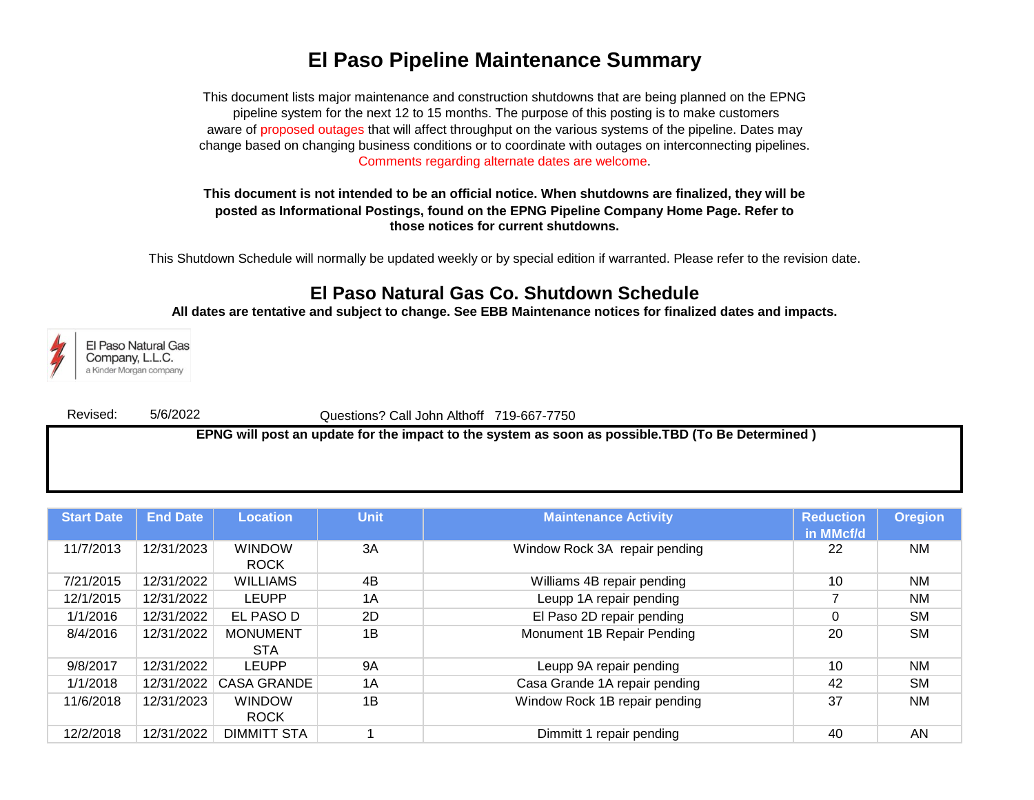## **El Paso Pipeline Maintenance Summary**

Comments regarding alternate dates are welcome. This document lists major maintenance and construction shutdowns that are being planned on the EPNG pipeline system for the next 12 to 15 months. The purpose of this posting is to make customers aware of proposed outages that will affect throughput on the various systems of the pipeline. Dates may change based on changing business conditions or to coordinate with outages on interconnecting pipelines.

## **This document is not intended to be an official notice. When shutdowns are finalized, they will be posted as Informational Postings, found on the EPNG Pipeline Company Home Page. Refer to those notices for current shutdowns.**

This Shutdown Schedule will normally be updated weekly or by special edition if warranted. Please refer to the revision date.

## **El Paso Natural Gas Co. Shutdown Schedule**

**All dates are tentative and subject to change. See EBB Maintenance notices for finalized dates and impacts.**



El Paso Natural Gas Company, L.L.C. a Kinder Morgan company

Revised: 5/6/2022

Questions? Call John Althoff 719-667-7750

 **EPNG will post an update for the impact to the system as soon as possible.TBD (To Be Determined )**

| <b>Start Date</b> | <b>End Date</b> | <b>Location</b>               | <b>Unit</b> | <b>Maintenance Activity</b>   | <b>Reduction</b><br>in MMcf/d | <b>Oregion</b> |
|-------------------|-----------------|-------------------------------|-------------|-------------------------------|-------------------------------|----------------|
| 11/7/2013         | 12/31/2023      | <b>WINDOW</b><br><b>ROCK</b>  | 3A          | Window Rock 3A repair pending | 22                            | <b>NM</b>      |
| 7/21/2015         | 12/31/2022      | <b>WILLIAMS</b>               | 4B          | Williams 4B repair pending    | 10                            | <b>NM</b>      |
| 12/1/2015         | 12/31/2022      | <b>LEUPP</b>                  | 1A          | Leupp 1A repair pending       |                               | <b>NM</b>      |
| 1/1/2016          | 12/31/2022      | EL PASO D                     | 2D          | El Paso 2D repair pending     | 0                             | <b>SM</b>      |
| 8/4/2016          | 12/31/2022      | <b>MONUMENT</b><br><b>STA</b> | 1B          | Monument 1B Repair Pending    | 20                            | <b>SM</b>      |
| 9/8/2017          | 12/31/2022      | LEUPP                         | <b>9A</b>   | Leupp 9A repair pending       | 10                            | <b>NM</b>      |
| 1/1/2018          | 12/31/2022      | <b>CASA GRANDE</b>            | 1A          | Casa Grande 1A repair pending | 42                            | <b>SM</b>      |
| 11/6/2018         | 12/31/2023      | <b>WINDOW</b><br><b>ROCK</b>  | 1B          | Window Rock 1B repair pending | 37                            | <b>NM</b>      |
| 12/2/2018         | 12/31/2022      | <b>DIMMITT STA</b>            |             | repair pending<br>Dimmitt 1   | 40                            | AN             |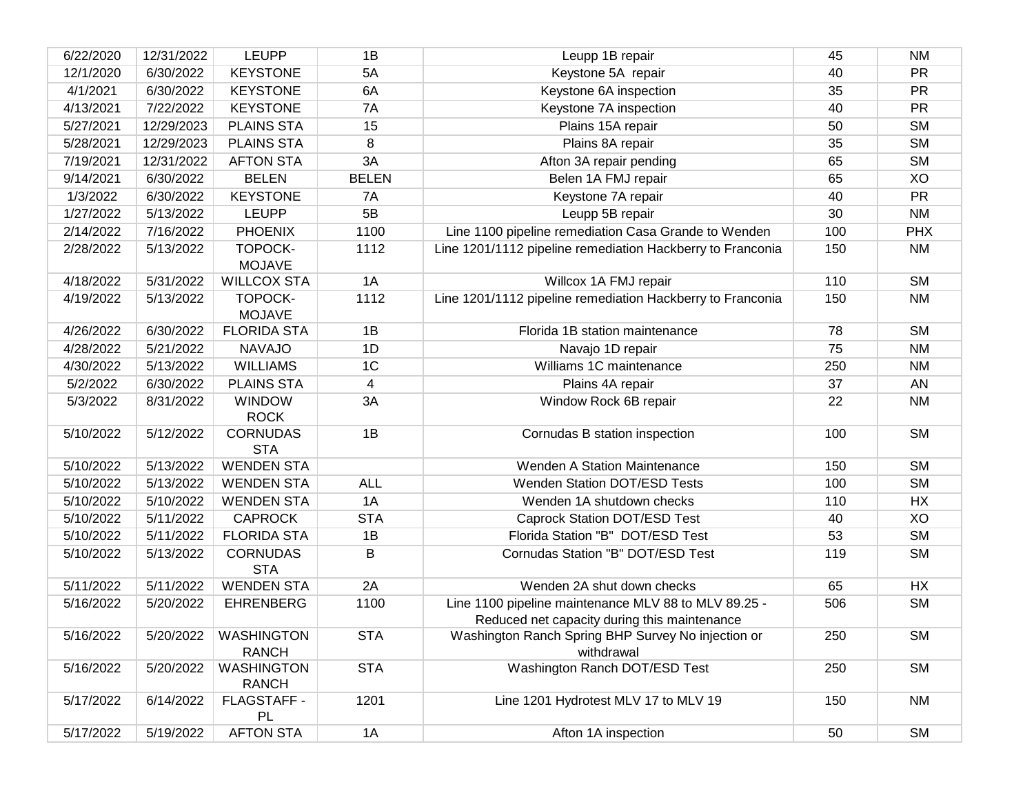| 6/22/2020 | 12/31/2022 | <b>LEUPP</b>                         | 1B             | Leupp 1B repair                                                                                      | 45  | <b>NM</b>  |
|-----------|------------|--------------------------------------|----------------|------------------------------------------------------------------------------------------------------|-----|------------|
| 12/1/2020 | 6/30/2022  | <b>KEYSTONE</b>                      | 5A             | Keystone 5A repair                                                                                   | 40  | <b>PR</b>  |
| 4/1/2021  | 6/30/2022  | <b>KEYSTONE</b>                      | 6A             | Keystone 6A inspection                                                                               | 35  | PR         |
| 4/13/2021 | 7/22/2022  | <b>KEYSTONE</b>                      | 7A             | Keystone 7A inspection                                                                               | 40  | PR         |
| 5/27/2021 | 12/29/2023 | <b>PLAINS STA</b>                    | 15             | Plains 15A repair                                                                                    | 50  | <b>SM</b>  |
| 5/28/2021 | 12/29/2023 | <b>PLAINS STA</b>                    | 8              | Plains 8A repair                                                                                     | 35  | <b>SM</b>  |
| 7/19/2021 | 12/31/2022 | <b>AFTON STA</b>                     | 3A             | Afton 3A repair pending                                                                              | 65  | <b>SM</b>  |
| 9/14/2021 | 6/30/2022  | <b>BELEN</b>                         | <b>BELEN</b>   | Belen 1A FMJ repair                                                                                  | 65  | XO         |
| 1/3/2022  | 6/30/2022  | <b>KEYSTONE</b>                      | 7A             | Keystone 7A repair                                                                                   | 40  | PR         |
| 1/27/2022 | 5/13/2022  | <b>LEUPP</b>                         | 5B             | Leupp 5B repair                                                                                      | 30  | <b>NM</b>  |
| 2/14/2022 | 7/16/2022  | <b>PHOENIX</b>                       | 1100           | Line 1100 pipeline remediation Casa Grande to Wenden                                                 | 100 | <b>PHX</b> |
| 2/28/2022 | 5/13/2022  | TOPOCK-<br><b>MOJAVE</b>             | 1112           | Line 1201/1112 pipeline remediation Hackberry to Franconia                                           | 150 | <b>NM</b>  |
| 4/18/2022 | 5/31/2022  | <b>WILLCOX STA</b>                   | 1A             | Willcox 1A FMJ repair                                                                                | 110 | <b>SM</b>  |
| 4/19/2022 | 5/13/2022  | TOPOCK-<br><b>MOJAVE</b>             | 1112           | Line 1201/1112 pipeline remediation Hackberry to Franconia                                           | 150 | <b>NM</b>  |
| 4/26/2022 | 6/30/2022  | <b>FLORIDA STA</b>                   | 1B             | Florida 1B station maintenance                                                                       | 78  | <b>SM</b>  |
| 4/28/2022 | 5/21/2022  | <b>NAVAJO</b>                        | 1D             | Navajo 1D repair                                                                                     | 75  | <b>NM</b>  |
| 4/30/2022 | 5/13/2022  | <b>WILLIAMS</b>                      | 1 <sup>C</sup> | Williams 1C maintenance                                                                              | 250 | <b>NM</b>  |
| 5/2/2022  | 6/30/2022  | <b>PLAINS STA</b>                    | $\overline{4}$ | Plains 4A repair                                                                                     | 37  | AN         |
| 5/3/2022  | 8/31/2022  | <b>WINDOW</b><br><b>ROCK</b>         | 3A             | Window Rock 6B repair                                                                                | 22  | <b>NM</b>  |
| 5/10/2022 | 5/12/2022  | <b>CORNUDAS</b><br><b>STA</b>        | 1B             | Cornudas B station inspection                                                                        | 100 | <b>SM</b>  |
| 5/10/2022 | 5/13/2022  | <b>WENDEN STA</b>                    |                | <b>Wenden A Station Maintenance</b>                                                                  | 150 | <b>SM</b>  |
| 5/10/2022 | 5/13/2022  | <b>WENDEN STA</b>                    | <b>ALL</b>     | <b>Wenden Station DOT/ESD Tests</b>                                                                  | 100 | <b>SM</b>  |
| 5/10/2022 | 5/10/2022  | <b>WENDEN STA</b>                    | 1A             | Wenden 1A shutdown checks                                                                            | 110 | HX         |
| 5/10/2022 | 5/11/2022  | <b>CAPROCK</b>                       | <b>STA</b>     | Caprock Station DOT/ESD Test                                                                         | 40  | XO         |
| 5/10/2022 | 5/11/2022  | <b>FLORIDA STA</b>                   | 1B             | Florida Station "B" DOT/ESD Test                                                                     | 53  | <b>SM</b>  |
| 5/10/2022 | 5/13/2022  | <b>CORNUDAS</b><br><b>STA</b>        | B              | Cornudas Station "B" DOT/ESD Test                                                                    | 119 | <b>SM</b>  |
| 5/11/2022 | 5/11/2022  | <b>WENDEN STA</b>                    | 2A             | Wenden 2A shut down checks                                                                           | 65  | HX         |
| 5/16/2022 | 5/20/2022  | <b>EHRENBERG</b>                     | 1100           | Line 1100 pipeline maintenance MLV 88 to MLV 89.25 -<br>Reduced net capacity during this maintenance | 506 | <b>SM</b>  |
| 5/16/2022 |            | 5/20/2022 WASHINGTON<br><b>RANCH</b> | <b>STA</b>     | Washington Ranch Spring BHP Survey No injection or<br>withdrawal                                     | 250 | <b>SM</b>  |
| 5/16/2022 | 5/20/2022  | <b>WASHINGTON</b><br><b>RANCH</b>    | <b>STA</b>     | Washington Ranch DOT/ESD Test                                                                        | 250 | <b>SM</b>  |
| 5/17/2022 | 6/14/2022  | FLAGSTAFF -<br>PL                    | 1201           | Line 1201 Hydrotest MLV 17 to MLV 19                                                                 | 150 | <b>NM</b>  |
| 5/17/2022 | 5/19/2022  | <b>AFTON STA</b>                     | 1A             | Afton 1A inspection                                                                                  | 50  | <b>SM</b>  |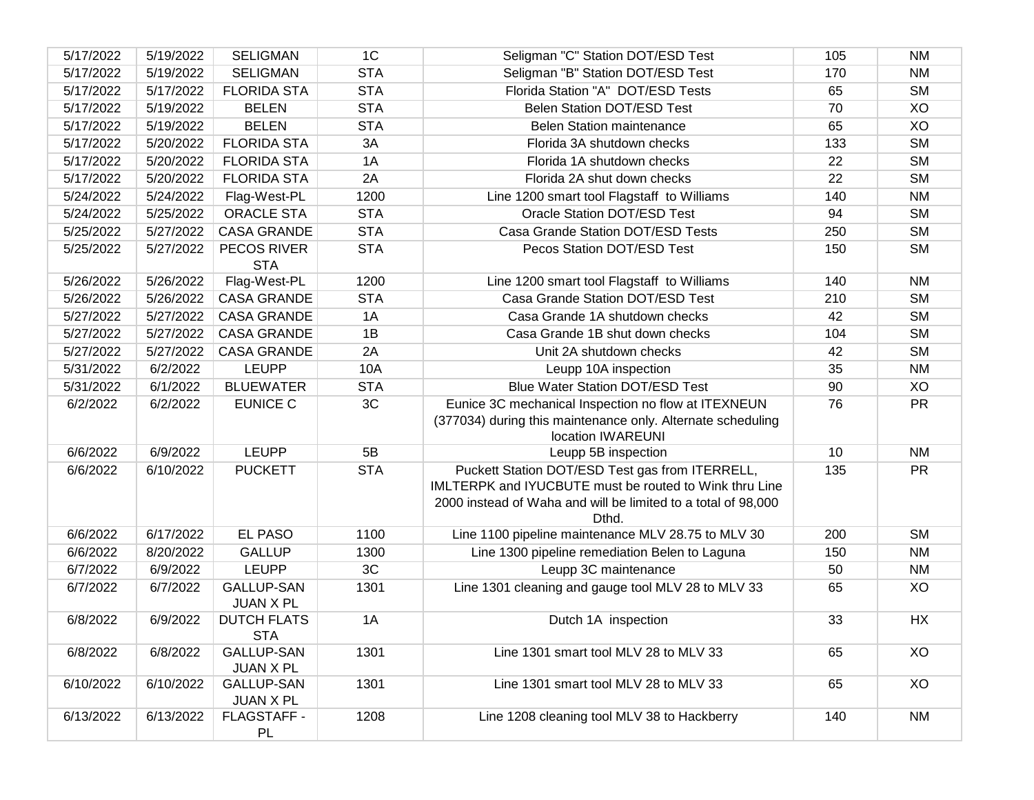| 5/17/2022 | 5/19/2022 | <b>SELIGMAN</b>                       | 1 <sup>C</sup> | Seligman "C" Station DOT/ESD Test                                                                                                                                                   | 105 | <b>NM</b> |
|-----------|-----------|---------------------------------------|----------------|-------------------------------------------------------------------------------------------------------------------------------------------------------------------------------------|-----|-----------|
| 5/17/2022 | 5/19/2022 | <b>SELIGMAN</b>                       | <b>STA</b>     | Seligman "B" Station DOT/ESD Test                                                                                                                                                   | 170 | <b>NM</b> |
| 5/17/2022 | 5/17/2022 | <b>FLORIDA STA</b>                    | <b>STA</b>     | Florida Station "A" DOT/ESD Tests                                                                                                                                                   | 65  | <b>SM</b> |
| 5/17/2022 | 5/19/2022 | <b>BELEN</b>                          | <b>STA</b>     | Belen Station DOT/ESD Test                                                                                                                                                          | 70  | XO        |
| 5/17/2022 | 5/19/2022 | <b>BELEN</b>                          | <b>STA</b>     | <b>Belen Station maintenance</b>                                                                                                                                                    | 65  | XO        |
| 5/17/2022 | 5/20/2022 | <b>FLORIDA STA</b>                    | 3A             | Florida 3A shutdown checks                                                                                                                                                          | 133 | <b>SM</b> |
| 5/17/2022 | 5/20/2022 | <b>FLORIDA STA</b>                    | 1A             | Florida 1A shutdown checks                                                                                                                                                          | 22  | <b>SM</b> |
| 5/17/2022 | 5/20/2022 | <b>FLORIDA STA</b>                    | 2A             | Florida 2A shut down checks                                                                                                                                                         | 22  | <b>SM</b> |
| 5/24/2022 | 5/24/2022 | Flag-West-PL                          | 1200           | Line 1200 smart tool Flagstaff to Williams                                                                                                                                          | 140 | <b>NM</b> |
| 5/24/2022 | 5/25/2022 | <b>ORACLE STA</b>                     | <b>STA</b>     | Oracle Station DOT/ESD Test                                                                                                                                                         | 94  | <b>SM</b> |
| 5/25/2022 | 5/27/2022 | <b>CASA GRANDE</b>                    | <b>STA</b>     | Casa Grande Station DOT/ESD Tests                                                                                                                                                   | 250 | <b>SM</b> |
| 5/25/2022 | 5/27/2022 | PECOS RIVER<br><b>STA</b>             | <b>STA</b>     | Pecos Station DOT/ESD Test                                                                                                                                                          | 150 | <b>SM</b> |
| 5/26/2022 | 5/26/2022 | Flag-West-PL                          | 1200           | Line 1200 smart tool Flagstaff to Williams                                                                                                                                          | 140 | <b>NM</b> |
| 5/26/2022 | 5/26/2022 | <b>CASA GRANDE</b>                    | <b>STA</b>     | Casa Grande Station DOT/ESD Test                                                                                                                                                    | 210 | <b>SM</b> |
| 5/27/2022 | 5/27/2022 | <b>CASA GRANDE</b>                    | 1A             | Casa Grande 1A shutdown checks                                                                                                                                                      | 42  | <b>SM</b> |
| 5/27/2022 | 5/27/2022 | <b>CASA GRANDE</b>                    | 1B             | Casa Grande 1B shut down checks                                                                                                                                                     | 104 | <b>SM</b> |
| 5/27/2022 | 5/27/2022 | <b>CASA GRANDE</b>                    | 2A             | Unit 2A shutdown checks                                                                                                                                                             | 42  | <b>SM</b> |
| 5/31/2022 | 6/2/2022  | <b>LEUPP</b>                          | 10A            | Leupp 10A inspection                                                                                                                                                                | 35  | <b>NM</b> |
| 5/31/2022 | 6/1/2022  | <b>BLUEWATER</b>                      | <b>STA</b>     | <b>Blue Water Station DOT/ESD Test</b>                                                                                                                                              | 90  | XO        |
| 6/2/2022  | 6/2/2022  | <b>EUNICE C</b>                       | 3C             | Eunice 3C mechanical Inspection no flow at ITEXNEUN<br>(377034) during this maintenance only. Alternate scheduling<br>location IWAREUNI                                             | 76  | <b>PR</b> |
| 6/6/2022  | 6/9/2022  | <b>LEUPP</b>                          | 5B             | Leupp 5B inspection                                                                                                                                                                 | 10  | <b>NM</b> |
| 6/6/2022  | 6/10/2022 | <b>PUCKETT</b>                        | <b>STA</b>     | Puckett Station DOT/ESD Test gas from ITERRELL,<br>IMLTERPK and IYUCBUTE must be routed to Wink thru Line<br>2000 instead of Waha and will be limited to a total of 98,000<br>Dthd. | 135 | <b>PR</b> |
| 6/6/2022  | 6/17/2022 | <b>EL PASO</b>                        | 1100           | Line 1100 pipeline maintenance MLV 28.75 to MLV 30                                                                                                                                  | 200 | <b>SM</b> |
| 6/6/2022  | 8/20/2022 | <b>GALLUP</b>                         | 1300           | Line 1300 pipeline remediation Belen to Laguna                                                                                                                                      | 150 | <b>NM</b> |
| 6/7/2022  | 6/9/2022  | <b>LEUPP</b>                          | 3C             | Leupp 3C maintenance                                                                                                                                                                | 50  | <b>NM</b> |
| 6/7/2022  | 6/7/2022  | <b>GALLUP-SAN</b><br><b>JUAN X PL</b> | 1301           | Line 1301 cleaning and gauge tool MLV 28 to MLV 33                                                                                                                                  | 65  | XO        |
| 6/8/2022  | 6/9/2022  | <b>DUTCH FLATS</b><br><b>STA</b>      | 1A             | Dutch 1A inspection                                                                                                                                                                 | 33  | HX        |
| 6/8/2022  | 6/8/2022  | <b>GALLUP-SAN</b><br>JUAN X PL        | 1301           | Line 1301 smart tool MLV 28 to MLV 33                                                                                                                                               | 65  | XO        |
| 6/10/2022 | 6/10/2022 | <b>GALLUP-SAN</b><br><b>JUAN X PL</b> | 1301           | Line 1301 smart tool MLV 28 to MLV 33                                                                                                                                               | 65  | XO        |
| 6/13/2022 | 6/13/2022 | FLAGSTAFF -<br><b>PL</b>              | 1208           | Line 1208 cleaning tool MLV 38 to Hackberry                                                                                                                                         | 140 | <b>NM</b> |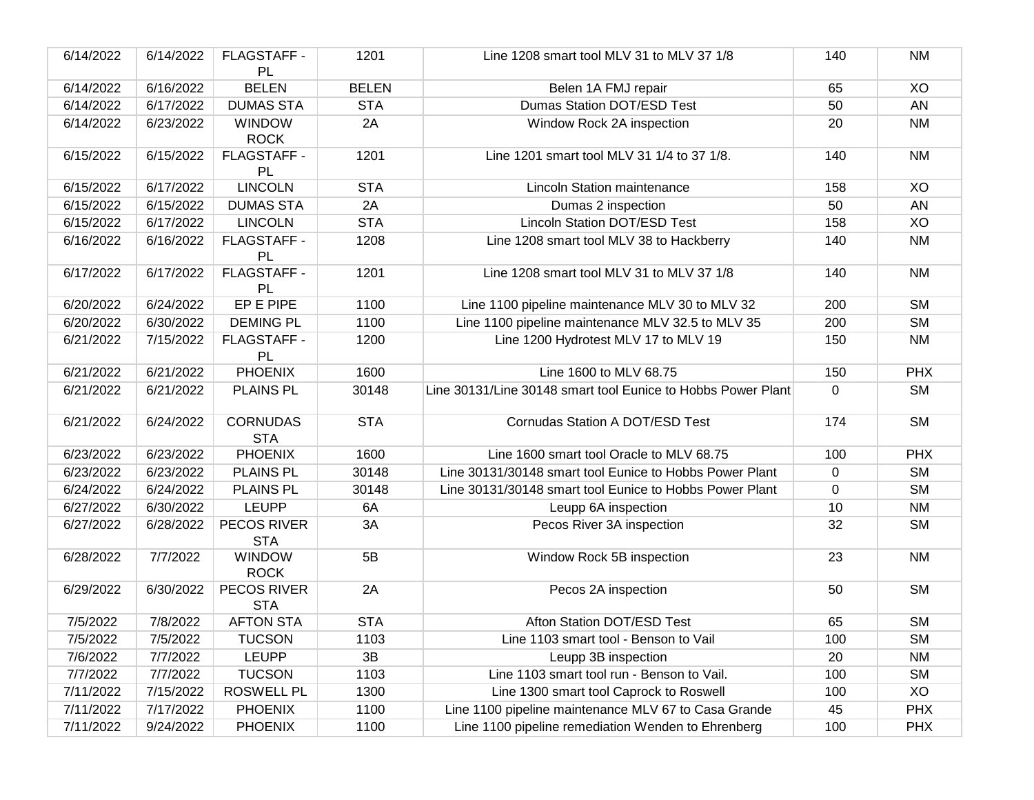| 6/14/2022 | 6/14/2022 | FLAGSTAFF -<br>PL             | 1201         | Line 1208 smart tool MLV 31 to MLV 37 1/8                    | 140         | <b>NM</b>  |
|-----------|-----------|-------------------------------|--------------|--------------------------------------------------------------|-------------|------------|
| 6/14/2022 | 6/16/2022 | <b>BELEN</b>                  | <b>BELEN</b> | Belen 1A FMJ repair                                          | 65          | XO         |
| 6/14/2022 | 6/17/2022 | <b>DUMAS STA</b>              | <b>STA</b>   | <b>Dumas Station DOT/ESD Test</b>                            | 50          | AN         |
| 6/14/2022 | 6/23/2022 | <b>WINDOW</b><br><b>ROCK</b>  | 2A           | Window Rock 2A inspection                                    | 20          | <b>NM</b>  |
| 6/15/2022 | 6/15/2022 | FLAGSTAFF -<br>PL             | 1201         | Line 1201 smart tool MLV 31 1/4 to 37 1/8.                   | 140         | <b>NM</b>  |
| 6/15/2022 | 6/17/2022 | <b>LINCOLN</b>                | <b>STA</b>   | <b>Lincoln Station maintenance</b>                           | 158         | XO         |
| 6/15/2022 | 6/15/2022 | <b>DUMAS STA</b>              | 2A           | Dumas 2 inspection                                           | 50          | AN         |
| 6/15/2022 | 6/17/2022 | <b>LINCOLN</b>                | <b>STA</b>   | <b>Lincoln Station DOT/ESD Test</b>                          | 158         | XO         |
| 6/16/2022 | 6/16/2022 | FLAGSTAFF -<br>PL             | 1208         | Line 1208 smart tool MLV 38 to Hackberry                     | 140         | <b>NM</b>  |
| 6/17/2022 | 6/17/2022 | FLAGSTAFF -<br>PL             | 1201         | Line 1208 smart tool MLV 31 to MLV 37 1/8                    | 140         | <b>NM</b>  |
| 6/20/2022 | 6/24/2022 | EP E PIPE                     | 1100         | Line 1100 pipeline maintenance MLV 30 to MLV 32              | 200         | <b>SM</b>  |
| 6/20/2022 | 6/30/2022 | <b>DEMING PL</b>              | 1100         | Line 1100 pipeline maintenance MLV 32.5 to MLV 35            | 200         | <b>SM</b>  |
| 6/21/2022 | 7/15/2022 | FLAGSTAFF -<br>PL             | 1200         | Line 1200 Hydrotest MLV 17 to MLV 19                         | 150         | <b>NM</b>  |
| 6/21/2022 | 6/21/2022 | <b>PHOENIX</b>                | 1600         | Line 1600 to MLV 68.75                                       | 150         | <b>PHX</b> |
| 6/21/2022 | 6/21/2022 | <b>PLAINS PL</b>              | 30148        | Line 30131/Line 30148 smart tool Eunice to Hobbs Power Plant | $\mathbf 0$ | <b>SM</b>  |
| 6/21/2022 | 6/24/2022 | <b>CORNUDAS</b><br><b>STA</b> | <b>STA</b>   | Cornudas Station A DOT/ESD Test                              | 174         | <b>SM</b>  |
| 6/23/2022 | 6/23/2022 | <b>PHOENIX</b>                | 1600         | Line 1600 smart tool Oracle to MLV 68.75                     | 100         | <b>PHX</b> |
| 6/23/2022 | 6/23/2022 | <b>PLAINS PL</b>              | 30148        | Line 30131/30148 smart tool Eunice to Hobbs Power Plant      | $\mathbf 0$ | <b>SM</b>  |
| 6/24/2022 | 6/24/2022 | <b>PLAINS PL</b>              | 30148        | Line 30131/30148 smart tool Eunice to Hobbs Power Plant      | 0           | <b>SM</b>  |
| 6/27/2022 | 6/30/2022 | <b>LEUPP</b>                  | 6A           | Leupp 6A inspection                                          | 10          | <b>NM</b>  |
| 6/27/2022 | 6/28/2022 | PECOS RIVER<br><b>STA</b>     | 3A           | Pecos River 3A inspection                                    | 32          | <b>SM</b>  |
| 6/28/2022 | 7/7/2022  | <b>WINDOW</b><br><b>ROCK</b>  | 5B           | Window Rock 5B inspection                                    | 23          | <b>NM</b>  |
| 6/29/2022 | 6/30/2022 | PECOS RIVER<br><b>STA</b>     | 2A           | Pecos 2A inspection                                          | 50          | <b>SM</b>  |
| 7/5/2022  | 7/8/2022  | <b>AFTON STA</b>              | <b>STA</b>   | Afton Station DOT/ESD Test                                   | 65          | <b>SM</b>  |
| 7/5/2022  | 7/5/2022  | <b>TUCSON</b>                 | 1103         | Line 1103 smart tool - Benson to Vail                        | 100         | <b>SM</b>  |
| 7/6/2022  | 7/7/2022  | <b>LEUPP</b>                  | 3B           | Leupp 3B inspection                                          | 20          | <b>NM</b>  |
| 7/7/2022  | 7/7/2022  | <b>TUCSON</b>                 | 1103         | Line 1103 smart tool run - Benson to Vail.                   | 100         | <b>SM</b>  |
| 7/11/2022 | 7/15/2022 | <b>ROSWELL PL</b>             | 1300         | Line 1300 smart tool Caprock to Roswell                      | 100         | XO         |
| 7/11/2022 | 7/17/2022 | <b>PHOENIX</b>                | 1100         | Line 1100 pipeline maintenance MLV 67 to Casa Grande         | 45          | <b>PHX</b> |
| 7/11/2022 | 9/24/2022 | <b>PHOENIX</b>                | 1100         | Line 1100 pipeline remediation Wenden to Ehrenberg           | 100         | <b>PHX</b> |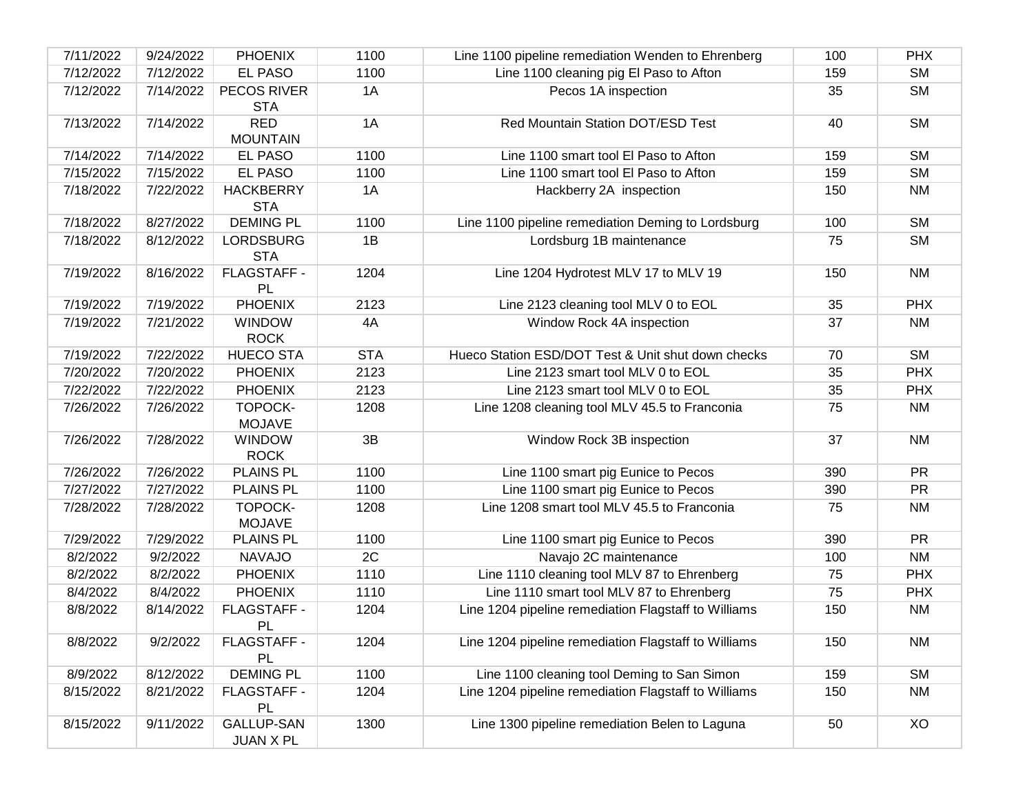| 7/11/2022 | 9/24/2022 | <b>PHOENIX</b>                 | 1100       | Line 1100 pipeline remediation Wenden to Ehrenberg   | 100 | <b>PHX</b> |
|-----------|-----------|--------------------------------|------------|------------------------------------------------------|-----|------------|
| 7/12/2022 | 7/12/2022 | <b>EL PASO</b>                 | 1100       | Line 1100 cleaning pig El Paso to Afton              | 159 | <b>SM</b>  |
| 7/12/2022 | 7/14/2022 | PECOS RIVER<br><b>STA</b>      | 1A         | Pecos 1A inspection                                  | 35  | <b>SM</b>  |
| 7/13/2022 | 7/14/2022 | <b>RED</b><br><b>MOUNTAIN</b>  | 1A         | Red Mountain Station DOT/ESD Test                    | 40  | <b>SM</b>  |
| 7/14/2022 | 7/14/2022 | EL PASO                        | 1100       | Line 1100 smart tool El Paso to Afton                | 159 | <b>SM</b>  |
| 7/15/2022 | 7/15/2022 | <b>EL PASO</b>                 | 1100       | Line 1100 smart tool El Paso to Afton                | 159 | <b>SM</b>  |
| 7/18/2022 | 7/22/2022 | <b>HACKBERRY</b><br><b>STA</b> | 1A         | Hackberry 2A inspection                              | 150 | <b>NM</b>  |
| 7/18/2022 | 8/27/2022 | <b>DEMING PL</b>               | 1100       | Line 1100 pipeline remediation Deming to Lordsburg   | 100 | <b>SM</b>  |
| 7/18/2022 | 8/12/2022 | <b>LORDSBURG</b><br><b>STA</b> | 1B         | Lordsburg 1B maintenance                             | 75  | <b>SM</b>  |
| 7/19/2022 | 8/16/2022 | FLAGSTAFF -<br>PL              | 1204       | Line 1204 Hydrotest MLV 17 to MLV 19                 | 150 | <b>NM</b>  |
| 7/19/2022 | 7/19/2022 | <b>PHOENIX</b>                 | 2123       | Line 2123 cleaning tool MLV 0 to EOL                 | 35  | <b>PHX</b> |
| 7/19/2022 | 7/21/2022 | <b>WINDOW</b><br><b>ROCK</b>   | 4A         | Window Rock 4A inspection                            | 37  | <b>NM</b>  |
| 7/19/2022 | 7/22/2022 | <b>HUECO STA</b>               | <b>STA</b> | Hueco Station ESD/DOT Test & Unit shut down checks   | 70  | <b>SM</b>  |
| 7/20/2022 | 7/20/2022 | <b>PHOENIX</b>                 | 2123       | Line 2123 smart tool MLV 0 to EOL                    | 35  | <b>PHX</b> |
| 7/22/2022 | 7/22/2022 | <b>PHOENIX</b>                 | 2123       | Line 2123 smart tool MLV 0 to EOL                    | 35  | <b>PHX</b> |
| 7/26/2022 | 7/26/2022 | TOPOCK-<br><b>MOJAVE</b>       | 1208       | Line 1208 cleaning tool MLV 45.5 to Franconia        | 75  | <b>NM</b>  |
| 7/26/2022 | 7/28/2022 | <b>WINDOW</b><br><b>ROCK</b>   | 3B         | Window Rock 3B inspection                            | 37  | <b>NM</b>  |
| 7/26/2022 | 7/26/2022 | <b>PLAINS PL</b>               | 1100       | Line 1100 smart pig Eunice to Pecos                  | 390 | <b>PR</b>  |
| 7/27/2022 | 7/27/2022 | <b>PLAINS PL</b>               | 1100       | Line 1100 smart pig Eunice to Pecos                  | 390 | <b>PR</b>  |
| 7/28/2022 | 7/28/2022 | TOPOCK-<br><b>MOJAVE</b>       | 1208       | Line 1208 smart tool MLV 45.5 to Franconia           | 75  | <b>NM</b>  |
| 7/29/2022 | 7/29/2022 | <b>PLAINS PL</b>               | 1100       | Line 1100 smart pig Eunice to Pecos                  | 390 | <b>PR</b>  |
| 8/2/2022  | 9/2/2022  | <b>NAVAJO</b>                  | 2C         | Navajo 2C maintenance                                | 100 | <b>NM</b>  |
| 8/2/2022  | 8/2/2022  | <b>PHOENIX</b>                 | 1110       | Line 1110 cleaning tool MLV 87 to Ehrenberg          | 75  | <b>PHX</b> |
| 8/4/2022  | 8/4/2022  | <b>PHOENIX</b>                 | 1110       | Line 1110 smart tool MLV 87 to Ehrenberg             | 75  | <b>PHX</b> |
| 8/8/2022  | 8/14/2022 | FLAGSTAFF -<br>PL              | 1204       | Line 1204 pipeline remediation Flagstaff to Williams | 150 | <b>NM</b>  |
| 8/8/2022  | 9/2/2022  | FLAGSTAFF -<br>PL              | 1204       | Line 1204 pipeline remediation Flagstaff to Williams | 150 | <b>NM</b>  |
| 8/9/2022  | 8/12/2022 | <b>DEMING PL</b>               | 1100       | Line 1100 cleaning tool Deming to San Simon          | 159 | <b>SM</b>  |
| 8/15/2022 | 8/21/2022 | FLAGSTAFF -<br>PL              | 1204       | Line 1204 pipeline remediation Flagstaff to Williams | 150 | <b>NM</b>  |
| 8/15/2022 | 9/11/2022 | <b>GALLUP-SAN</b><br>JUAN X PL | 1300       | Line 1300 pipeline remediation Belen to Laguna       | 50  | XO         |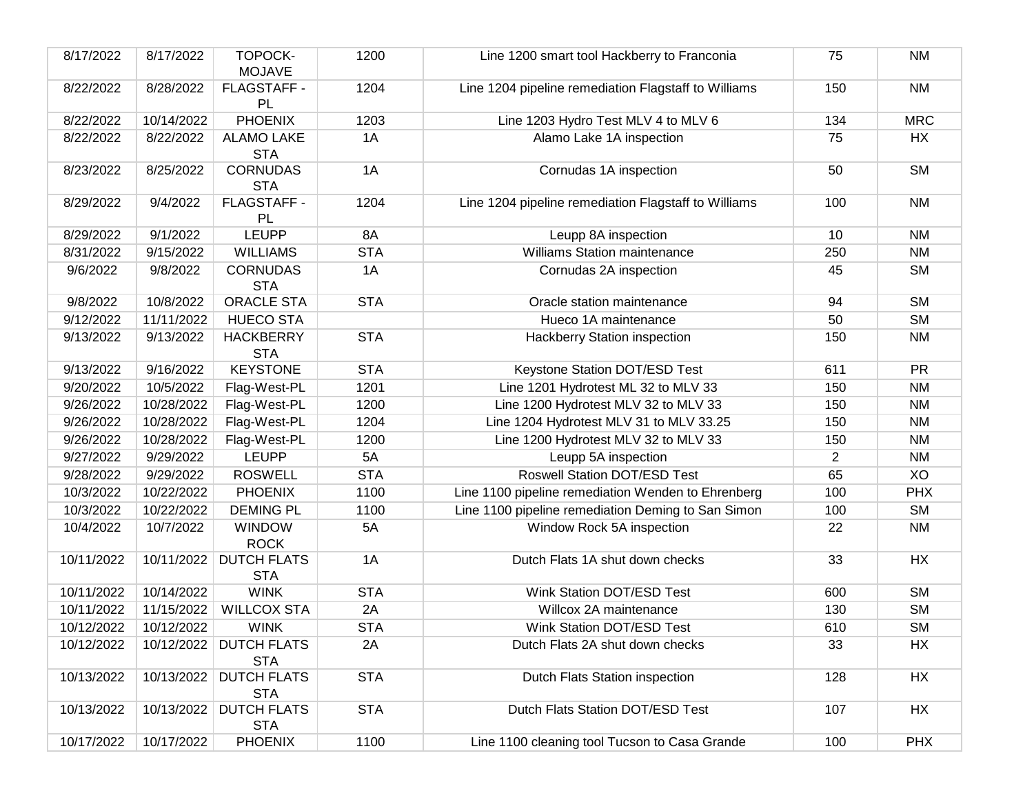| 8/17/2022  | 8/17/2022  | TOPOCK-<br><b>MOJAVE</b>             | 1200       | Line 1200 smart tool Hackberry to Franconia          | 75             | <b>NM</b>  |
|------------|------------|--------------------------------------|------------|------------------------------------------------------|----------------|------------|
| 8/22/2022  | 8/28/2022  | FLAGSTAFF -<br>PL                    | 1204       | Line 1204 pipeline remediation Flagstaff to Williams | 150            | <b>NM</b>  |
| 8/22/2022  | 10/14/2022 | <b>PHOENIX</b>                       | 1203       | Line 1203 Hydro Test MLV 4 to MLV 6                  | 134            | <b>MRC</b> |
| 8/22/2022  | 8/22/2022  | <b>ALAMO LAKE</b><br><b>STA</b>      | 1A         | Alamo Lake 1A inspection                             | 75             | <b>HX</b>  |
| 8/23/2022  | 8/25/2022  | <b>CORNUDAS</b><br><b>STA</b>        | 1A         | Cornudas 1A inspection                               | 50             | <b>SM</b>  |
| 8/29/2022  | 9/4/2022   | FLAGSTAFF -<br>PL                    | 1204       | Line 1204 pipeline remediation Flagstaff to Williams | 100            | <b>NM</b>  |
| 8/29/2022  | 9/1/2022   | <b>LEUPP</b>                         | 8A         | Leupp 8A inspection                                  | 10             | <b>NM</b>  |
| 8/31/2022  | 9/15/2022  | <b>WILLIAMS</b>                      | <b>STA</b> | <b>Williams Station maintenance</b>                  | 250            | <b>NM</b>  |
| 9/6/2022   | 9/8/2022   | <b>CORNUDAS</b><br><b>STA</b>        | 1A         | Cornudas 2A inspection                               | 45             | <b>SM</b>  |
| 9/8/2022   | 10/8/2022  | <b>ORACLE STA</b>                    | <b>STA</b> | Oracle station maintenance                           | 94             | <b>SM</b>  |
| 9/12/2022  | 11/11/2022 | <b>HUECO STA</b>                     |            | Hueco 1A maintenance                                 | 50             | <b>SM</b>  |
| 9/13/2022  | 9/13/2022  | <b>HACKBERRY</b><br><b>STA</b>       | <b>STA</b> | <b>Hackberry Station inspection</b>                  | 150            | <b>NM</b>  |
| 9/13/2022  | 9/16/2022  | <b>KEYSTONE</b>                      | <b>STA</b> | Keystone Station DOT/ESD Test                        | 611            | <b>PR</b>  |
| 9/20/2022  | 10/5/2022  | Flag-West-PL                         | 1201       | Line 1201 Hydrotest ML 32 to MLV 33                  | 150            | <b>NM</b>  |
| 9/26/2022  | 10/28/2022 | Flag-West-PL                         | 1200       | Line 1200 Hydrotest MLV 32 to MLV 33                 | 150            | <b>NM</b>  |
| 9/26/2022  | 10/28/2022 | Flag-West-PL                         | 1204       | Line 1204 Hydrotest MLV 31 to MLV 33.25              | 150            | <b>NM</b>  |
| 9/26/2022  | 10/28/2022 | Flag-West-PL                         | 1200       | Line 1200 Hydrotest MLV 32 to MLV 33                 | 150            | <b>NM</b>  |
| 9/27/2022  | 9/29/2022  | <b>LEUPP</b>                         | 5A         | Leupp 5A inspection                                  | $\overline{2}$ | <b>NM</b>  |
| 9/28/2022  | 9/29/2022  | <b>ROSWELL</b>                       | <b>STA</b> | <b>Roswell Station DOT/ESD Test</b>                  | 65             | XO         |
| 10/3/2022  | 10/22/2022 | <b>PHOENIX</b>                       | 1100       | Line 1100 pipeline remediation Wenden to Ehrenberg   | 100            | <b>PHX</b> |
| 10/3/2022  | 10/22/2022 | <b>DEMING PL</b>                     | 1100       | Line 1100 pipeline remediation Deming to San Simon   | 100            | <b>SM</b>  |
| 10/4/2022  | 10/7/2022  | <b>WINDOW</b><br><b>ROCK</b>         | 5A         | Window Rock 5A inspection                            | 22             | <b>NM</b>  |
| 10/11/2022 | 10/11/2022 | <b>DUTCH FLATS</b><br><b>STA</b>     | 1A         | Dutch Flats 1A shut down checks                      | 33             | HX         |
| 10/11/2022 | 10/14/2022 | <b>WINK</b>                          | <b>STA</b> | Wink Station DOT/ESD Test                            | 600            | <b>SM</b>  |
| 10/11/2022 | 11/15/2022 | <b>WILLCOX STA</b>                   | 2A         | Willcox 2A maintenance                               | 130            | <b>SM</b>  |
| 10/12/2022 | 10/12/2022 | <b>WINK</b>                          | <b>STA</b> | Wink Station DOT/ESD Test                            | 610            | <b>SM</b>  |
| 10/12/2022 |            | 10/12/2022 DUTCH FLATS<br><b>STA</b> | 2A         | Dutch Flats 2A shut down checks                      | 33             | HX         |
| 10/13/2022 | 10/13/2022 | <b>DUTCH FLATS</b><br><b>STA</b>     | <b>STA</b> | Dutch Flats Station inspection                       | 128            | HX         |
| 10/13/2022 | 10/13/2022 | <b>DUTCH FLATS</b><br><b>STA</b>     | <b>STA</b> | Dutch Flats Station DOT/ESD Test                     | 107            | HX         |
| 10/17/2022 | 10/17/2022 | <b>PHOENIX</b>                       | 1100       | Line 1100 cleaning tool Tucson to Casa Grande        | 100            | <b>PHX</b> |